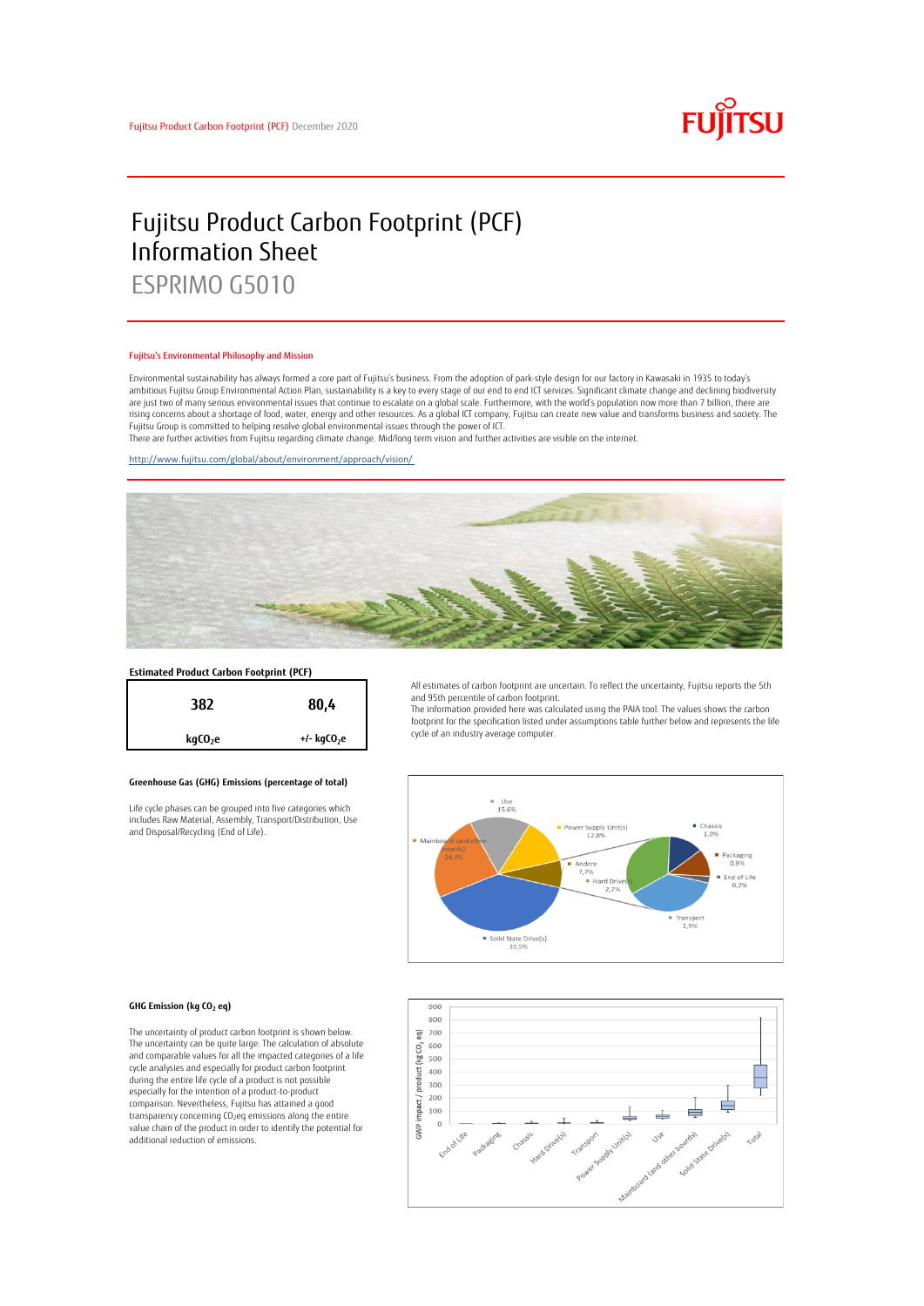

# Fujitsu Product Carbon Footprint (PCF) Information Sheet ESPRIMO G5010

#### Fujitsu's Environmental Philosophy and Mission

Environmental sustainability has always formed a core part of Fujitsu's business. From the adoption of park-style design for our factory in Kawasaki in 1935 to today's ambitious Fujitsu Group Environmental Action Plan, sustainability is a key to every stage of our end to end ICT services. Significant climate change and declining biodiversity are just two of many serious environmental issues that continue to escalate on a global scale. Furthermore, with the world's population now more than 7 billion, there are<br>rising concerns about a shortage of food, water, en Fujitsu Group is committed to helping resolve global environmental issues through the power of ICT.

There are further activities from Fujitsu regarding climate change. Mid/long term vision and further activities are visible on the internet.

<http://www.fujitsu.com/global/about/environment/approach/vision/>



# **Estimated Product Carbon Footprint (PCF)**



### **Greenhouse Gas (GHG) Emissions (percentage of total)**

Life cycle phases can be grouped into five categories which includes Raw Material, Assembly, Transport/Distribution, Use and Disposal/Recycling (End of Life).

All estimates of carbon footprint are uncertain. To reflect the uncertainty, Fujitsu reports the 5th and 95th percentile of carbon footprint.

The information provided here was calculated using the PAIA tool. The values shows the carbon footprint for the specification listed under assumptions table further below and represents the life cycle of an industry average computer.



#### **GHG Emission (kg CO<sup>2</sup> eq)**

The uncertainty of product carbon footprint is shown below. The uncertainty can be quite large. The calculation of absolute and comparable values for all the impacted categories of a life cycle analysies and especially for product carbon footprint during the entire life cycle of a product is not possible especially for the intention of a product-to-product comparison. Nevertheless, Fujitsu has attained a good transparency concerning CO2eq emissions along the entire value chain of the product in order to identify the potential for additional reduction of emissions.